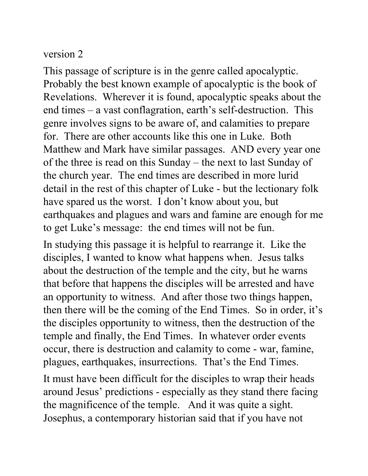## version 2

This passage of scripture is in the genre called apocalyptic. Probably the best known example of apocalyptic is the book of Revelations. Wherever it is found, apocalyptic speaks about the end times – a vast conflagration, earth's self-destruction. This genre involves signs to be aware of, and calamities to prepare for. There are other accounts like this one in Luke. Both Matthew and Mark have similar passages. AND every year one of the three is read on this Sunday – the next to last Sunday of the church year. The end times are described in more lurid detail in the rest of this chapter of Luke - but the lectionary folk have spared us the worst. I don't know about you, but earthquakes and plagues and wars and famine are enough for me to get Luke's message: the end times will not be fun.

In studying this passage it is helpful to rearrange it. Like the disciples, I wanted to know what happens when. Jesus talks about the destruction of the temple and the city, but he warns that before that happens the disciples will be arrested and have an opportunity to witness. And after those two things happen, then there will be the coming of the End Times. So in order, it's the disciples opportunity to witness, then the destruction of the temple and finally, the End Times. In whatever order events occur, there is destruction and calamity to come - war, famine, plagues, earthquakes, insurrections. That's the End Times.

It must have been difficult for the disciples to wrap their heads around Jesus' predictions - especially as they stand there facing the magnificence of the temple. And it was quite a sight. Josephus, a contemporary historian said that if you have not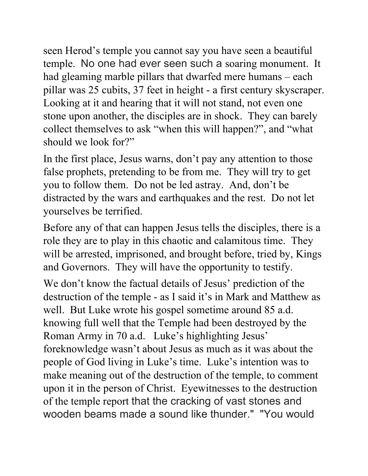seen Herod's temple you cannot say you have seen a beautiful temple. No one had ever seen such a soaring monument. It had gleaming marble pillars that dwarfed mere humans – each pillar was 25 cubits, 37 feet in height - a first century skyscraper. Looking at it and hearing that it will not stand, not even one stone upon another, the disciples are in shock. They can barely collect themselves to ask "when this will happen?", and "what should we look for?"

In the first place, Jesus warns, don't pay any attention to those false prophets, pretending to be from me. They will try to get you to follow them. Do not be led astray. And, don't be distracted by the wars and earthquakes and the rest. Do not let yourselves be terrified.

Before any of that can happen Jesus tells the disciples, there is a role they are to play in this chaotic and calamitous time. They will be arrested, imprisoned, and brought before, tried by, Kings and Governors. They will have the opportunity to testify.

We don't know the factual details of Jesus' prediction of the destruction of the temple - as I said it's in Mark and Matthew as well. But Luke wrote his gospel sometime around 85 a.d. knowing full well that the Temple had been destroyed by the Roman Army in 70 a.d. Luke's highlighting Jesus' foreknowledge wasn't about Jesus as much as it was about the people of God living in Luke's time. Luke's intention was to make meaning out of the destruction of the temple, to comment upon it in the person of Christ. Eyewitnesses to the destruction of the temple report that the cracking of vast stones and wooden beams made a sound like thunder." "You would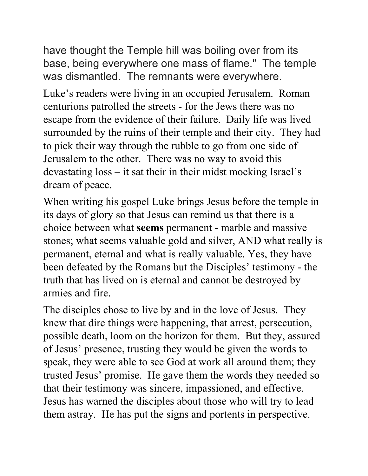have thought the Temple hill was boiling over from its base, being everywhere one mass of flame." The temple was dismantled. The remnants were everywhere.

Luke's readers were living in an occupied Jerusalem. Roman centurions patrolled the streets - for the Jews there was no escape from the evidence of their failure. Daily life was lived surrounded by the ruins of their temple and their city. They had to pick their way through the rubble to go from one side of Jerusalem to the other. There was no way to avoid this devastating loss – it sat their in their midst mocking Israel's dream of peace.

When writing his gospel Luke brings Jesus before the temple in its days of glory so that Jesus can remind us that there is a choice between what **seems** permanent - marble and massive stones; what seems valuable gold and silver, AND what really is permanent, eternal and what is really valuable. Yes, they have been defeated by the Romans but the Disciples' testimony - the truth that has lived on is eternal and cannot be destroyed by armies and fire.

The disciples chose to live by and in the love of Jesus. They knew that dire things were happening, that arrest, persecution, possible death, loom on the horizon for them. But they, assured of Jesus' presence, trusting they would be given the words to speak, they were able to see God at work all around them; they trusted Jesus' promise. He gave them the words they needed so that their testimony was sincere, impassioned, and effective. Jesus has warned the disciples about those who will try to lead them astray. He has put the signs and portents in perspective.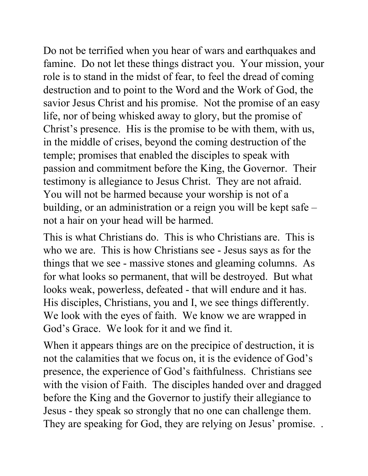Do not be terrified when you hear of wars and earthquakes and famine. Do not let these things distract you. Your mission, your role is to stand in the midst of fear, to feel the dread of coming destruction and to point to the Word and the Work of God, the savior Jesus Christ and his promise. Not the promise of an easy life, nor of being whisked away to glory, but the promise of Christ's presence. His is the promise to be with them, with us, in the middle of crises, beyond the coming destruction of the temple; promises that enabled the disciples to speak with passion and commitment before the King, the Governor. Their testimony is allegiance to Jesus Christ. They are not afraid. You will not be harmed because your worship is not of a building, or an administration or a reign you will be kept safe – not a hair on your head will be harmed.

This is what Christians do. This is who Christians are. This is who we are. This is how Christians see - Jesus says as for the things that we see - massive stones and gleaming columns. As for what looks so permanent, that will be destroyed. But what looks weak, powerless, defeated - that will endure and it has. His disciples, Christians, you and I, we see things differently. We look with the eyes of faith. We know we are wrapped in God's Grace. We look for it and we find it.

When it appears things are on the precipice of destruction, it is not the calamities that we focus on, it is the evidence of God's presence, the experience of God's faithfulness. Christians see with the vision of Faith. The disciples handed over and dragged before the King and the Governor to justify their allegiance to Jesus - they speak so strongly that no one can challenge them. They are speaking for God, they are relying on Jesus' promise. .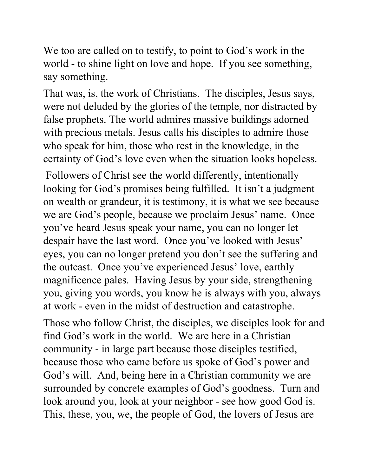We too are called on to testify, to point to God's work in the world - to shine light on love and hope. If you see something, say something.

That was, is, the work of Christians. The disciples, Jesus says, were not deluded by the glories of the temple, nor distracted by false prophets. The world admires massive buildings adorned with precious metals. Jesus calls his disciples to admire those who speak for him, those who rest in the knowledge, in the certainty of God's love even when the situation looks hopeless.

 Followers of Christ see the world differently, intentionally looking for God's promises being fulfilled. It isn't a judgment on wealth or grandeur, it is testimony, it is what we see because we are God's people, because we proclaim Jesus' name. Once you've heard Jesus speak your name, you can no longer let despair have the last word. Once you've looked with Jesus' eyes, you can no longer pretend you don't see the suffering and the outcast. Once you've experienced Jesus' love, earthly magnificence pales. Having Jesus by your side, strengthening you, giving you words, you know he is always with you, always at work - even in the midst of destruction and catastrophe.

Those who follow Christ, the disciples, we disciples look for and find God's work in the world. We are here in a Christian community - in large part because those disciples testified, because those who came before us spoke of God's power and God's will. And, being here in a Christian community we are surrounded by concrete examples of God's goodness. Turn and look around you, look at your neighbor - see how good God is. This, these, you, we, the people of God, the lovers of Jesus are